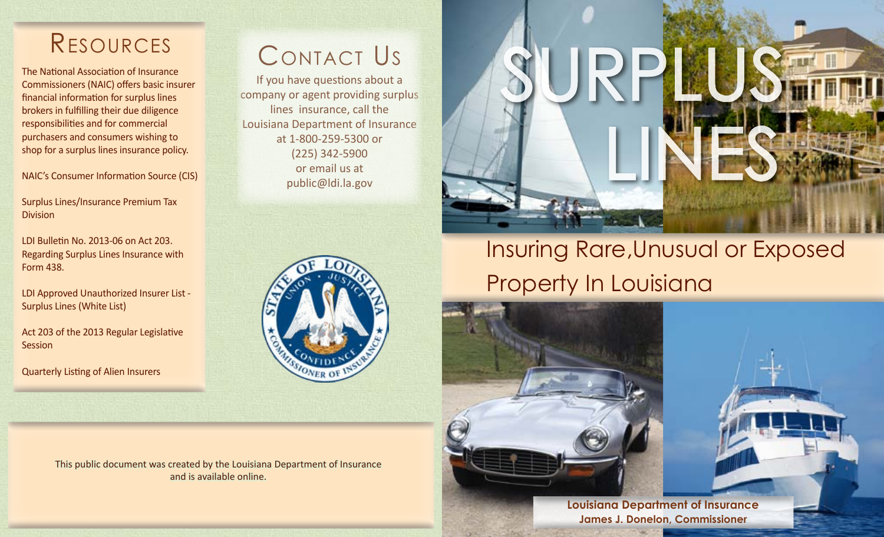## Resources

The National Association of Insurance Commissioners (NAIC) offers basic insurer financial information for surplus lines brokers in fulfilling their due diligence responsibilities and for commercial purchasers and consumers wishing to shop for a surplus lines insurance policy.

[NAIC's Consumer Information Source \(CIS\)](https://eapps.naic.org/cis/) 

[Surplus Lines/Insurance Premium Tax](http://www.ldi.la.gov/industry/taxes-and-assessments/surplus-lines-premium-tax)  **[Division](http://www.ldi.la.gov/industry/taxes-and-assessments/surplus-lines-premium-tax)** 

[LDI Bulletin No. 2013-06 on Act 203.](http://web2012.ldi.state.la.us:8081/docs/default-source/documents/legaldocs/bulletins/bul2013-06-cur-formforacknowledgeme.pdf?sfvrsn=0)  [Regarding Surplus Lines Insurance with](http://web2012.ldi.state.la.us:8081/docs/default-source/documents/legaldocs/bulletins/bul2013-06-cur-formforacknowledgeme.pdf?sfvrsn=0)  [Form 438.](http://web2012.ldi.state.la.us:8081/docs/default-source/documents/legaldocs/bulletins/bul2013-06-cur-formforacknowledgeme.pdf?sfvrsn=0) 

[LDI Approved Unauthorized Insurer List -](http://www.ldi.state.la.us/onlineservices/WhiteList/)  [Surplus Lines \(White List\)](http://www.ldi.state.la.us/onlineservices/WhiteList/)

[Act 203 of the 2013 Regular Legislative](http://www.legis.la.gov/legis/BillInfo.aspx?s=13RS&b=ACT203&sbi=y)  **[Session](http://www.legis.la.gov/legis/BillInfo.aspx?s=13RS&b=ACT203&sbi=y)** 

[Quarterly Listing of Alien Insurers](http://www.naic.org/documents/committees_e_surplus_lines_fawg_quarterly_listing_alien_insurers.pdf)

## Contact Us

If you have questions about a company or agent providing surplus lines insurance, call the Louisiana Department of Insurance at 1-800-259-5300 or (225) 342-5900 or email us at public@ldi.la.gov



This public document was created by the Louisiana Department of Insurance and is available online.



# Insuring Rare,Unusual or Exposed Property In Louisiana

**Louisiana Department of Insurance James J. Donelon, Commissioner**